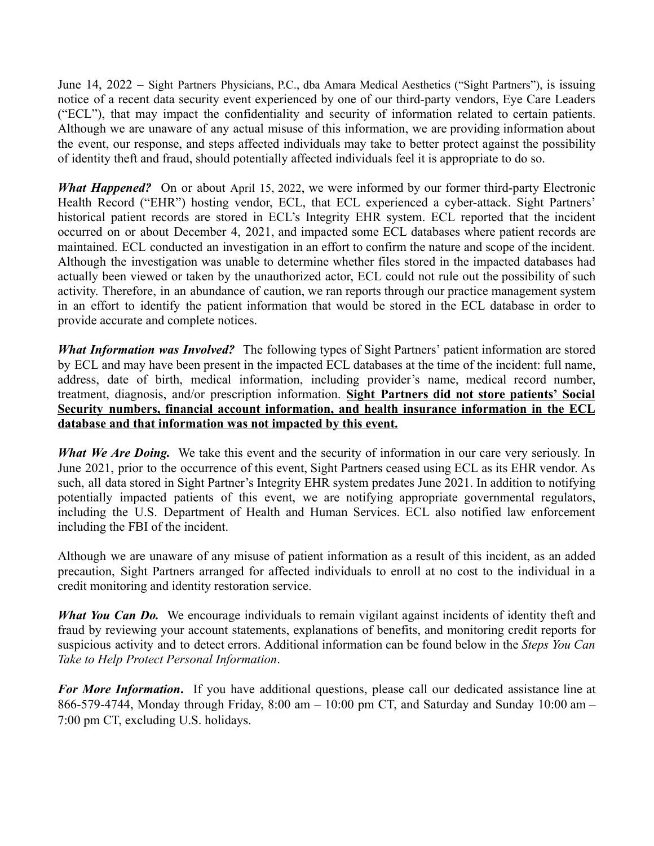June 14, 2022 – Sight Partners Physicians, P.C., dba Amara Medical Aesthetics ("Sight Partners"), is issuing notice of a recent data security event experienced by one of our third-party vendors, Eye Care Leaders ("ECL"), that may impact the confidentiality and security of information related to certain patients. Although we are unaware of any actual misuse of this information, we are providing information about the event, our response, and steps affected individuals may take to better protect against the possibility of identity theft and fraud, should potentially affected individuals feel it is appropriate to do so.

*What Happened?* On or about April 15, 2022, we were informed by our former third-party Electronic Health Record ("EHR") hosting vendor, ECL, that ECL experienced a cyber-attack. Sight Partners' historical patient records are stored in ECL's Integrity EHR system. ECL reported that the incident occurred on or about December 4, 2021, and impacted some ECL databases where patient records are maintained. ECL conducted an investigation in an effort to confirm the nature and scope of the incident. Although the investigation was unable to determine whether files stored in the impacted databases had actually been viewed or taken by the unauthorized actor, ECL could not rule out the possibility of such activity. Therefore, in an abundance of caution, we ran reports through our practice management system in an effort to identify the patient information that would be stored in the ECL database in order to provide accurate and complete notices.

*What Information was Involved?* The following types of Sight Partners' patient information are stored by ECL and may have been present in the impacted ECL databases at the time of the incident: full name, address, date of birth, medical information, including provider's name, medical record number, treatment, diagnosis, and/or prescription information. **Sight Partners did not store patients' Social Security numbers, financial account information, and health insurance information in the ECL database and that information was not impacted by this event.**

*What We Are Doing.* We take this event and the security of information in our care very seriously. In June 2021, prior to the occurrence of this event, Sight Partners ceased using ECL as its EHR vendor. As such, all data stored in Sight Partner's Integrity EHR system predates June 2021. In addition to notifying potentially impacted patients of this event, we are notifying appropriate governmental regulators, including the U.S. Department of Health and Human Services. ECL also notified law enforcement including the FBI of the incident.

Although we are unaware of any misuse of patient information as a result of this incident, as an added precaution, Sight Partners arranged for affected individuals to enroll at no cost to the individual in a credit monitoring and identity restoration service.

*What You Can Do.* We encourage individuals to remain vigilant against incidents of identity theft and fraud by reviewing your account statements, explanations of benefits, and monitoring credit reports for suspicious activity and to detect errors. Additional information can be found below in the *Steps You Can Take to Help Protect Personal Information*.

*For More Information***.** If you have additional questions, please call our dedicated assistance line at 866-579-4744, Monday through Friday, 8:00 am – 10:00 pm CT, and Saturday and Sunday 10:00 am – 7:00 pm CT, excluding U.S. holidays.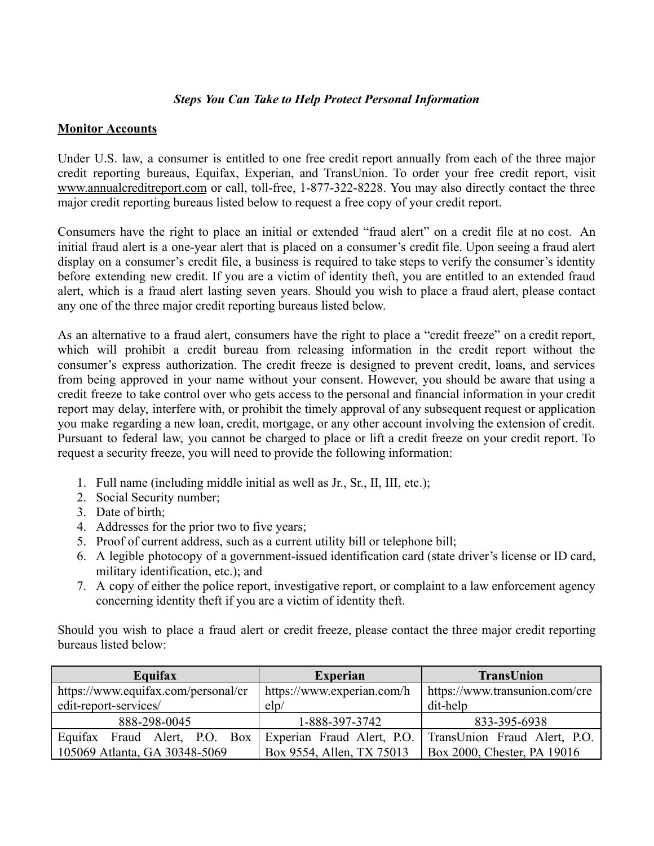## *Steps You Can Take to Help Protect Personal Information*

## **Monitor Accounts**

Under U.S. law, a consumer is entitled to one free credit report annually from each of the three major credit reporting bureaus, Equifax, Experian, and TransUnion. To order your free credit report, visit www.annualcreditreport.com or call, toll-free, 1-877-322-8228. You may also directly contact the three major credit reporting bureaus listed below to request a free copy of your credit report.

Consumers have the right to place an initial or extended "fraud alert" on a credit file at no cost. An initial fraud alert is a one-year alert that is placed on a consumer's credit file. Upon seeing a fraud alert display on a consumer's credit file, a business is required to take steps to verify the consumer's identity before extending new credit. If you are a victim of identity theft, you are entitled to an extended fraud alert, which is a fraud alert lasting seven years. Should you wish to place a fraud alert, please contact any one of the three major credit reporting bureaus listed below.

As an alternative to a fraud alert, consumers have the right to place a "credit freeze" on a credit report, which will prohibit a credit bureau from releasing information in the credit report without the consumer's express authorization. The credit freeze is designed to prevent credit, loans, and services from being approved in your name without your consent. However, you should be aware that using a credit freeze to take control over who gets access to the personal and financial information in your credit report may delay, interfere with, or prohibit the timely approval of any subsequent request or application you make regarding a new loan, credit, mortgage, or any other account involving the extension of credit. Pursuant to federal law, you cannot be charged to place or lift a credit freeze on your credit report. To request a security freeze, you will need to provide the following information:

- 1. Full name (including middle initial as well as Jr., Sr., II, III, etc.);
- 2. Social Security number;
- 3. Date of birth;
- 4. Addresses for the prior two to five years;
- 5. Proof of current address, such as a current utility bill or telephone bill;
- 6. A legible photocopy of a government-issued identification card (state driver's license or ID card, military identification, etc.); and
- 7. A copy of either the police report, investigative report, or complaint to a law enforcement agency concerning identity theft if you are a victim of identity theft.

Should you wish to place a fraud alert or credit freeze, please contact the three major credit reporting bureaus listed below:

| Equifax                             | <b>Experian</b>            | <b>TransUnion</b>              |
|-------------------------------------|----------------------------|--------------------------------|
| https://www.equifax.com/personal/cr | https://www.experian.com/h | https://www.transunion.com/cre |
| edit-report-services/               | $\text{elp}/$              | dit-help                       |
| 888-298-0045                        | 1-888-397-3742             | 833-395-6938                   |
| Equifax Fraud Alert, P.O. Box       | Experian Fraud Alert, P.O. | TransUnion Fraud Alert, P.O.   |
| 105069 Atlanta, GA 30348-5069       | Box 9554, Allen, TX 75013  | Box 2000, Chester, PA 19016    |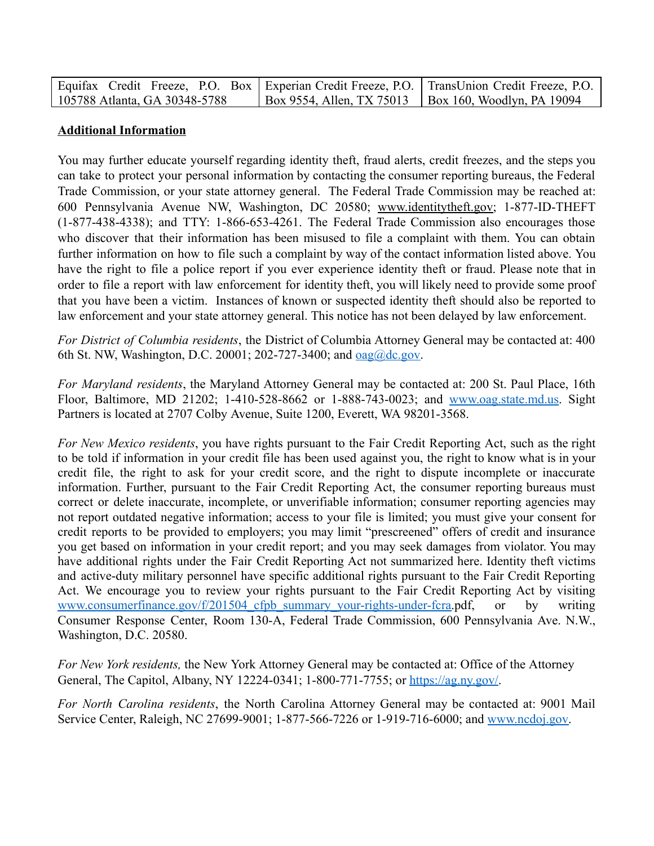| Equifax Credit Freeze, P.O. Box   Experian Credit Freeze, P.O.   TransUnion Credit Freeze, P.O. |                                                                      |
|-------------------------------------------------------------------------------------------------|----------------------------------------------------------------------|
| 105788 Atlanta, GA 30348-5788                                                                   | $\vert$ Box 9554, Allen, TX 75013 $\vert$ Box 160, Woodlyn, PA 19094 |

## **Additional Information**

You may further educate yourself regarding identity theft, fraud alerts, credit freezes, and the steps you can take to protect your personal information by contacting the consumer reporting bureaus, the Federal Trade Commission, or your state attorney general. The Federal Trade Commission may be reached at: 600 Pennsylvania Avenue NW, Washington, DC 20580; www.identitytheft.gov; 1-877-ID-THEFT (1-877-438-4338); and TTY: 1-866-653-4261. The Federal Trade Commission also encourages those who discover that their information has been misused to file a complaint with them. You can obtain further information on how to file such a complaint by way of the contact information listed above. You have the right to file a police report if you ever experience identity theft or fraud. Please note that in order to file a report with law enforcement for identity theft, you will likely need to provide some proof that you have been a victim. Instances of known or suspected identity theft should also be reported to law enforcement and your state attorney general. This notice has not been delayed by law enforcement.

*For District of Columbia residents*, the District of Columbia Attorney General may be contacted at: 400 6th St. NW, Washington, D.C. 20001; 202-727-3400; and <u>oag@dc.gov</u>.

*For Maryland residents*, the Maryland Attorney General may be contacted at: 200 St. Paul Place, 16th Floor, Baltimore, MD 21202; 1-410-528-8662 or 1-888-743-0023; and [www.oag.state.md.us.](http://www.oag.state.md.us/) Sight Partners is located at 2707 Colby Avenue, Suite 1200, Everett, WA 98201-3568.

*For New Mexico residents*, you have rights pursuant to the Fair Credit Reporting Act, such as the right to be told if information in your credit file has been used against you, the right to know what is in your credit file, the right to ask for your credit score, and the right to dispute incomplete or inaccurate information. Further, pursuant to the Fair Credit Reporting Act, the consumer reporting bureaus must correct or delete inaccurate, incomplete, or unverifiable information; consumer reporting agencies may not report outdated negative information; access to your file is limited; you must give your consent for credit reports to be provided to employers; you may limit "prescreened" offers of credit and insurance you get based on information in your credit report; and you may seek damages from violator. You may have additional rights under the Fair Credit Reporting Act not summarized here. Identity theft victims and active-duty military personnel have specific additional rights pursuant to the Fair Credit Reporting Act. We encourage you to review your rights pursuant to the Fair Credit Reporting Act by visiting www.consumerfinance.gov/f/201504 cfpb summary your-rights-under-fcra.pdf, or by writing Consumer Response Center, Room 130-A, Federal Trade Commission, 600 Pennsylvania Ave. N.W., Washington, D.C. 20580.

*For New York residents,* the New York Attorney General may be contacted at: Office of the Attorney General, The Capitol, Albany, NY 12224-0341; 1-800-771-7755; or <https://ag.ny.gov/>.

*For North Carolina residents*, the North Carolina Attorney General may be contacted at: 9001 Mail Service Center, Raleigh, NC 27699-9001; 1-877-566-7226 or 1-919-716-6000; and [www.ncdoj.gov](http://www.ncdoj.gov/).